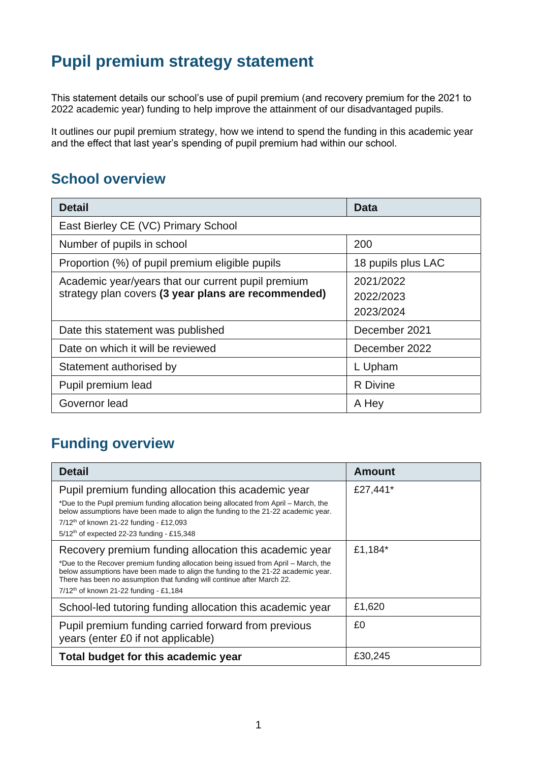# **Pupil premium strategy statement**

This statement details our school's use of pupil premium (and recovery premium for the 2021 to 2022 academic year) funding to help improve the attainment of our disadvantaged pupils.

It outlines our pupil premium strategy, how we intend to spend the funding in this academic year and the effect that last year's spending of pupil premium had within our school.

### **School overview**

| <b>Detail</b>                                       | Data               |
|-----------------------------------------------------|--------------------|
| East Bierley CE (VC) Primary School                 |                    |
| Number of pupils in school                          | 200                |
| Proportion (%) of pupil premium eligible pupils     | 18 pupils plus LAC |
| Academic year/years that our current pupil premium  | 2021/2022          |
| strategy plan covers (3 year plans are recommended) | 2022/2023          |
|                                                     | 2023/2024          |
| Date this statement was published                   | December 2021      |
| Date on which it will be reviewed                   | December 2022      |
| Statement authorised by                             | L Upham            |
| Pupil premium lead                                  | <b>R</b> Divine    |
| Governor lead                                       | A Hey              |

### **Funding overview**

| <b>Detail</b>                                                                                                                                                                                                                                                                                                                                                | <b>Amount</b> |
|--------------------------------------------------------------------------------------------------------------------------------------------------------------------------------------------------------------------------------------------------------------------------------------------------------------------------------------------------------------|---------------|
| Pupil premium funding allocation this academic year<br>*Due to the Pupil premium funding allocation being allocated from April – March, the<br>below assumptions have been made to align the funding to the 21-22 academic year.<br>$7/12^{th}$ of known 21-22 funding - £12,093<br>$5/12$ <sup>th</sup> of expected 22-23 funding - £15,348                 | £27,441*      |
| Recovery premium funding allocation this academic year<br>*Due to the Recover premium funding allocation being issued from April – March, the<br>below assumptions have been made to align the funding to the 21-22 academic year.<br>There has been no assumption that funding will continue after March 22.<br>$7/12^{th}$ of known 21-22 funding - £1,184 | £1,184*       |
| School-led tutoring funding allocation this academic year                                                                                                                                                                                                                                                                                                    | £1,620        |
| Pupil premium funding carried forward from previous<br>years (enter £0 if not applicable)                                                                                                                                                                                                                                                                    | £0            |
| Total budget for this academic year                                                                                                                                                                                                                                                                                                                          | £30.245       |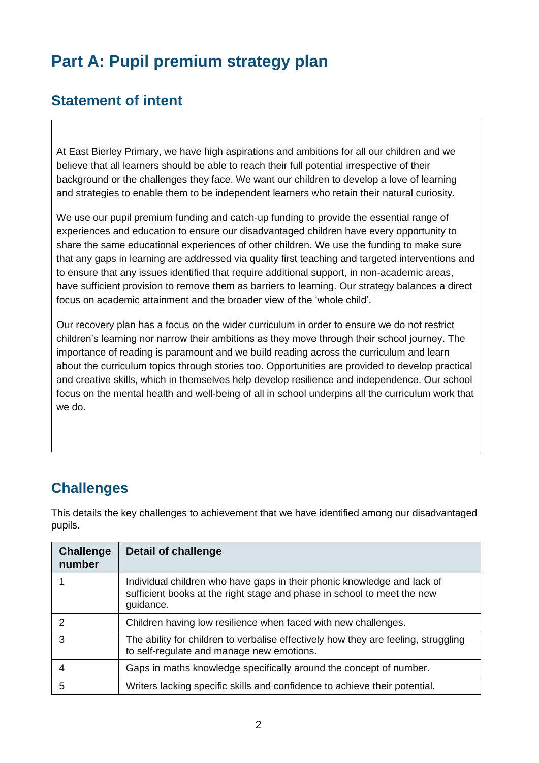# **Part A: Pupil premium strategy plan**

### **Statement of intent**

At East Bierley Primary, we have high aspirations and ambitions for all our children and we believe that all learners should be able to reach their full potential irrespective of their background or the challenges they face. We want our children to develop a love of learning and strategies to enable them to be independent learners who retain their natural curiosity.

We use our pupil premium funding and catch-up funding to provide the essential range of experiences and education to ensure our disadvantaged children have every opportunity to share the same educational experiences of other children. We use the funding to make sure that any gaps in learning are addressed via quality first teaching and targeted interventions and to ensure that any issues identified that require additional support, in non-academic areas, have sufficient provision to remove them as barriers to learning. Our strategy balances a direct focus on academic attainment and the broader view of the 'whole child'.

Our recovery plan has a focus on the wider curriculum in order to ensure we do not restrict children's learning nor narrow their ambitions as they move through their school journey. The importance of reading is paramount and we build reading across the curriculum and learn about the curriculum topics through stories too. Opportunities are provided to develop practical and creative skills, which in themselves help develop resilience and independence. Our school focus on the mental health and well-being of all in school underpins all the curriculum work that we do.

# **Challenges**

This details the key challenges to achievement that we have identified among our disadvantaged pupils.

| <b>Challenge</b><br>number | <b>Detail of challenge</b>                                                                                                                                      |
|----------------------------|-----------------------------------------------------------------------------------------------------------------------------------------------------------------|
|                            | Individual children who have gaps in their phonic knowledge and lack of<br>sufficient books at the right stage and phase in school to meet the new<br>guidance. |
| $\mathcal{P}$              | Children having low resilience when faced with new challenges.                                                                                                  |
| 3                          | The ability for children to verbalise effectively how they are feeling, struggling<br>to self-regulate and manage new emotions.                                 |
| 4                          | Gaps in maths knowledge specifically around the concept of number.                                                                                              |
| 5                          | Writers lacking specific skills and confidence to achieve their potential.                                                                                      |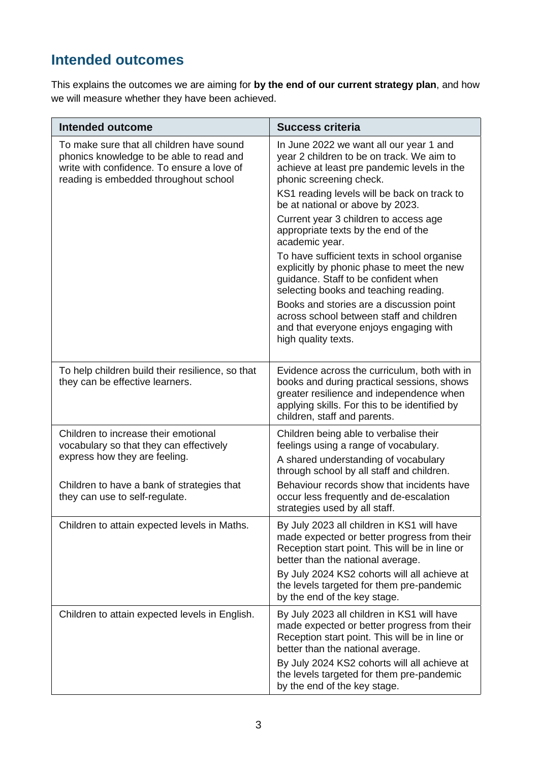# **Intended outcomes**

This explains the outcomes we are aiming for **by the end of our current strategy plan**, and how we will measure whether they have been achieved.

| <b>Intended outcome</b>                                                                                                                                                                          | <b>Success criteria</b>                                                                                                                                                                                                                                                                                                                                                                                                                                                                                                                                                                                                                                                                    |
|--------------------------------------------------------------------------------------------------------------------------------------------------------------------------------------------------|--------------------------------------------------------------------------------------------------------------------------------------------------------------------------------------------------------------------------------------------------------------------------------------------------------------------------------------------------------------------------------------------------------------------------------------------------------------------------------------------------------------------------------------------------------------------------------------------------------------------------------------------------------------------------------------------|
| To make sure that all children have sound<br>phonics knowledge to be able to read and<br>write with confidence. To ensure a love of<br>reading is embedded throughout school                     | In June 2022 we want all our year 1 and<br>year 2 children to be on track. We aim to<br>achieve at least pre pandemic levels in the<br>phonic screening check.<br>KS1 reading levels will be back on track to<br>be at national or above by 2023.<br>Current year 3 children to access age<br>appropriate texts by the end of the<br>academic year.<br>To have sufficient texts in school organise<br>explicitly by phonic phase to meet the new<br>guidance. Staff to be confident when<br>selecting books and teaching reading.<br>Books and stories are a discussion point<br>across school between staff and children<br>and that everyone enjoys engaging with<br>high quality texts. |
| To help children build their resilience, so that<br>they can be effective learners.                                                                                                              | Evidence across the curriculum, both with in<br>books and during practical sessions, shows<br>greater resilience and independence when<br>applying skills. For this to be identified by<br>children, staff and parents.                                                                                                                                                                                                                                                                                                                                                                                                                                                                    |
| Children to increase their emotional<br>vocabulary so that they can effectively<br>express how they are feeling.<br>Children to have a bank of strategies that<br>they can use to self-regulate. | Children being able to verbalise their<br>feelings using a range of vocabulary.<br>A shared understanding of vocabulary<br>through school by all staff and children.<br>Behaviour records show that incidents have<br>occur less frequently and de-escalation<br>strategies used by all staff.                                                                                                                                                                                                                                                                                                                                                                                             |
| Children to attain expected levels in Maths.                                                                                                                                                     | By July 2023 all children in KS1 will have<br>made expected or better progress from their<br>Reception start point. This will be in line or<br>better than the national average.<br>By July 2024 KS2 cohorts will all achieve at<br>the levels targeted for them pre-pandemic<br>by the end of the key stage.                                                                                                                                                                                                                                                                                                                                                                              |
| Children to attain expected levels in English.                                                                                                                                                   | By July 2023 all children in KS1 will have<br>made expected or better progress from their<br>Reception start point. This will be in line or<br>better than the national average.<br>By July 2024 KS2 cohorts will all achieve at<br>the levels targeted for them pre-pandemic<br>by the end of the key stage.                                                                                                                                                                                                                                                                                                                                                                              |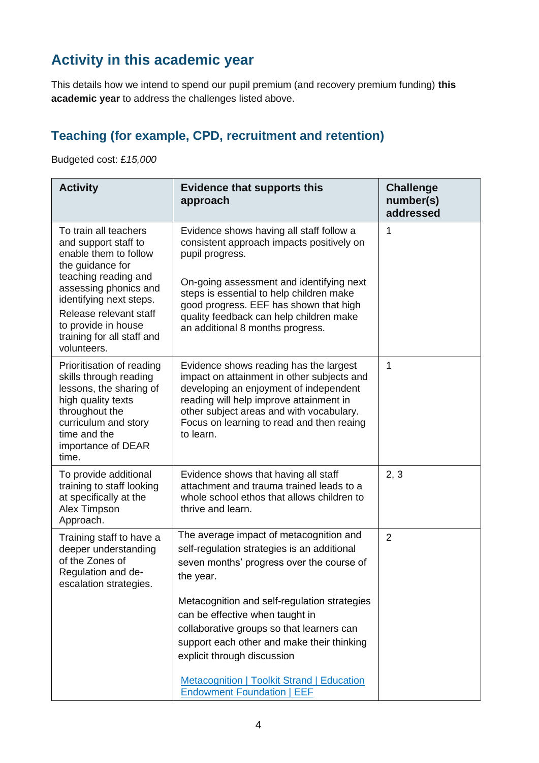# **Activity in this academic year**

This details how we intend to spend our pupil premium (and recovery premium funding) **this academic year** to address the challenges listed above.

#### **Teaching (for example, CPD, recruitment and retention)**

Budgeted cost: £*15,000*

| <b>Activity</b>                                                                                                                                                                                                                                                      | <b>Evidence that supports this</b><br>approach                                                                                                                                                                                                                                                                            | <b>Challenge</b><br>number(s)<br>addressed |
|----------------------------------------------------------------------------------------------------------------------------------------------------------------------------------------------------------------------------------------------------------------------|---------------------------------------------------------------------------------------------------------------------------------------------------------------------------------------------------------------------------------------------------------------------------------------------------------------------------|--------------------------------------------|
| To train all teachers<br>and support staff to<br>enable them to follow<br>the guidance for<br>teaching reading and<br>assessing phonics and<br>identifying next steps.<br>Release relevant staff<br>to provide in house<br>training for all staff and<br>volunteers. | Evidence shows having all staff follow a<br>consistent approach impacts positively on<br>pupil progress.<br>On-going assessment and identifying next<br>steps is essential to help children make<br>good progress. EEF has shown that high<br>quality feedback can help children make<br>an additional 8 months progress. | 1                                          |
| Prioritisation of reading<br>skills through reading<br>lessons, the sharing of<br>high quality texts<br>throughout the<br>curriculum and story<br>time and the<br>importance of DEAR<br>time.                                                                        | Evidence shows reading has the largest<br>impact on attainment in other subjects and<br>developing an enjoyment of independent<br>reading will help improve attainment in<br>other subject areas and with vocabulary.<br>Focus on learning to read and then reaing<br>to learn.                                           | 1                                          |
| To provide additional<br>training to staff looking<br>at specifically at the<br>Alex Timpson<br>Approach.                                                                                                                                                            | Evidence shows that having all staff<br>attachment and trauma trained leads to a<br>whole school ethos that allows children to<br>thrive and learn.                                                                                                                                                                       | 2, 3                                       |
| Training staff to have a<br>deeper understanding<br>of the Zones of<br>Regulation and de-<br>escalation strategies.                                                                                                                                                  | The average impact of metacognition and<br>self-regulation strategies is an additional<br>seven months' progress over the course of<br>the year.                                                                                                                                                                          | $\overline{2}$                             |
|                                                                                                                                                                                                                                                                      | Metacognition and self-regulation strategies<br>can be effective when taught in<br>collaborative groups so that learners can<br>support each other and make their thinking<br>explicit through discussion                                                                                                                 |                                            |
|                                                                                                                                                                                                                                                                      | <b>Metacognition   Toolkit Strand   Education</b><br><b>Endowment Foundation   EEF</b>                                                                                                                                                                                                                                    |                                            |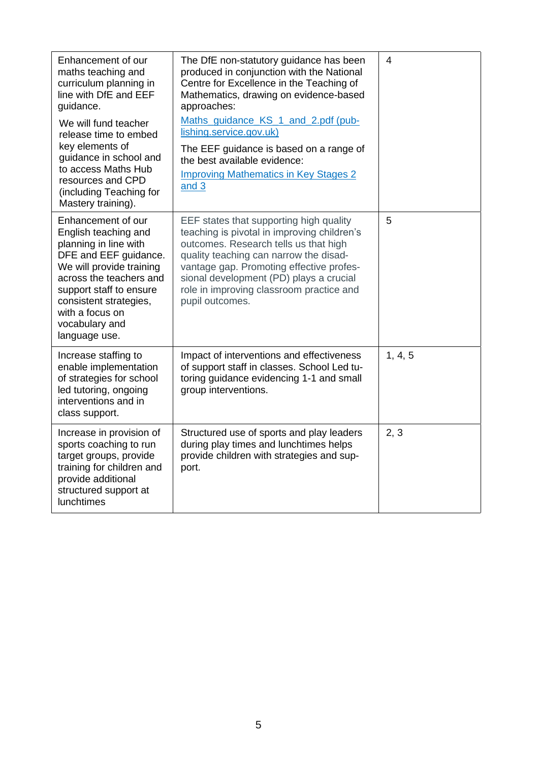| Enhancement of our<br>maths teaching and<br>curriculum planning in<br>line with DfE and EEF<br>guidance.<br>We will fund teacher<br>release time to embed                                                                                                      | The DfE non-statutory guidance has been<br>produced in conjunction with the National<br>Centre for Excellence in the Teaching of<br>Mathematics, drawing on evidence-based<br>approaches:<br>Maths guidance KS 1 and 2.pdf (pub-<br>lishing.service.gov.uk)                                                                     | 4       |
|----------------------------------------------------------------------------------------------------------------------------------------------------------------------------------------------------------------------------------------------------------------|---------------------------------------------------------------------------------------------------------------------------------------------------------------------------------------------------------------------------------------------------------------------------------------------------------------------------------|---------|
| key elements of<br>guidance in school and<br>to access Maths Hub<br>resources and CPD<br>(including Teaching for<br>Mastery training).                                                                                                                         | The EEF guidance is based on a range of<br>the best available evidence:<br><b>Improving Mathematics in Key Stages 2</b><br>and 3                                                                                                                                                                                                |         |
| Enhancement of our<br>English teaching and<br>planning in line with<br>DFE and EEF guidance.<br>We will provide training<br>across the teachers and<br>support staff to ensure<br>consistent strategies,<br>with a focus on<br>vocabulary and<br>language use. | EEF states that supporting high quality<br>teaching is pivotal in improving children's<br>outcomes. Research tells us that high<br>quality teaching can narrow the disad-<br>vantage gap. Promoting effective profes-<br>sional development (PD) plays a crucial<br>role in improving classroom practice and<br>pupil outcomes. | 5       |
| Increase staffing to<br>enable implementation<br>of strategies for school<br>led tutoring, ongoing<br>interventions and in<br>class support.                                                                                                                   | Impact of interventions and effectiveness<br>of support staff in classes. School Led tu-<br>toring guidance evidencing 1-1 and small<br>group interventions.                                                                                                                                                                    | 1, 4, 5 |
| Increase in provision of<br>sports coaching to run<br>target groups, provide<br>training for children and<br>provide additional<br>structured support at<br>lunchtimes                                                                                         | Structured use of sports and play leaders<br>during play times and lunchtimes helps<br>provide children with strategies and sup-<br>port.                                                                                                                                                                                       | 2, 3    |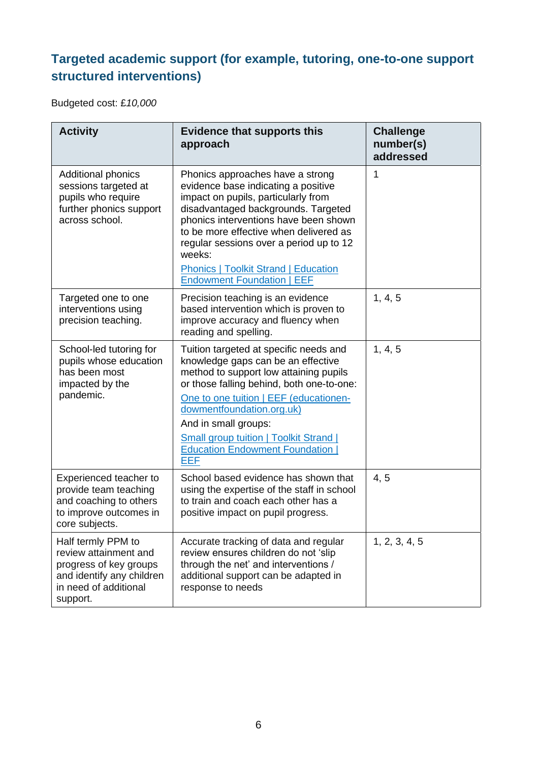### **Targeted academic support (for example, tutoring, one-to-one support structured interventions)**

Budgeted cost: £*10,000*

| <b>Activity</b>                                                                                                                         | <b>Evidence that supports this</b><br>approach                                                                                                                                                                                                                                                                                                                                    | <b>Challenge</b><br>number(s)<br>addressed |
|-----------------------------------------------------------------------------------------------------------------------------------------|-----------------------------------------------------------------------------------------------------------------------------------------------------------------------------------------------------------------------------------------------------------------------------------------------------------------------------------------------------------------------------------|--------------------------------------------|
| Additional phonics<br>sessions targeted at<br>pupils who require<br>further phonics support<br>across school.                           | Phonics approaches have a strong<br>evidence base indicating a positive<br>impact on pupils, particularly from<br>disadvantaged backgrounds. Targeted<br>phonics interventions have been shown<br>to be more effective when delivered as<br>regular sessions over a period up to 12<br>weeks:<br><b>Phonics   Toolkit Strand   Education</b><br><b>Endowment Foundation   EEF</b> | 1                                          |
| Targeted one to one<br>interventions using<br>precision teaching.                                                                       | Precision teaching is an evidence<br>based intervention which is proven to<br>improve accuracy and fluency when<br>reading and spelling.                                                                                                                                                                                                                                          | 1, 4, 5                                    |
| School-led tutoring for<br>pupils whose education<br>has been most<br>impacted by the<br>pandemic.                                      | Tuition targeted at specific needs and<br>knowledge gaps can be an effective<br>method to support low attaining pupils<br>or those falling behind, both one-to-one:<br>One to one tuition   EEF (educationen-<br>dowmentfoundation.org.uk)<br>And in small groups:<br><b>Small group tuition   Toolkit Strand  </b><br><b>Education Endowment Foundation</b><br><b>EEF</b>        | 1, 4, 5                                    |
| Experienced teacher to<br>provide team teaching<br>and coaching to others<br>to improve outcomes in<br>core subjects.                   | School based evidence has shown that<br>using the expertise of the staff in school<br>to train and coach each other has a<br>positive impact on pupil progress.                                                                                                                                                                                                                   | 4, 5                                       |
| Half termly PPM to<br>review attainment and<br>progress of key groups<br>and identify any children<br>in need of additional<br>support. | Accurate tracking of data and regular<br>review ensures children do not 'slip<br>through the net' and interventions /<br>additional support can be adapted in<br>response to needs                                                                                                                                                                                                | 1, 2, 3, 4, 5                              |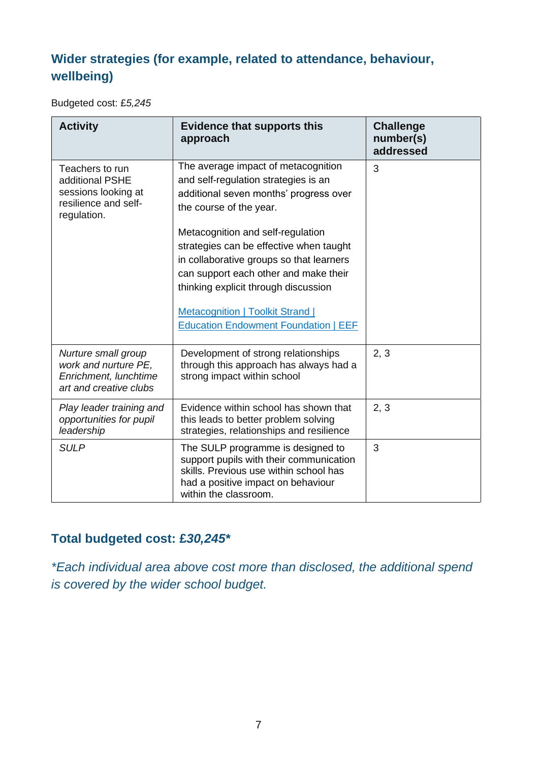### **Wider strategies (for example, related to attendance, behaviour, wellbeing)**

Budgeted cost: £*5,245*

| <b>Activity</b>                                                                                  | <b>Evidence that supports this</b><br>approach                                                                                                                                                                                                                                                                                                                                                                                                          | <b>Challenge</b><br>number(s)<br>addressed |
|--------------------------------------------------------------------------------------------------|---------------------------------------------------------------------------------------------------------------------------------------------------------------------------------------------------------------------------------------------------------------------------------------------------------------------------------------------------------------------------------------------------------------------------------------------------------|--------------------------------------------|
| Teachers to run<br>additional PSHE<br>sessions looking at<br>resilience and self-<br>regulation. | The average impact of metacognition<br>and self-regulation strategies is an<br>additional seven months' progress over<br>the course of the year.<br>Metacognition and self-regulation<br>strategies can be effective when taught<br>in collaborative groups so that learners<br>can support each other and make their<br>thinking explicit through discussion<br><b>Metacognition   Toolkit Strand  </b><br><b>Education Endowment Foundation   EEF</b> | 3                                          |
| Nurture small group<br>work and nurture PE,<br>Enrichment, lunchtime<br>art and creative clubs   | Development of strong relationships<br>through this approach has always had a<br>strong impact within school                                                                                                                                                                                                                                                                                                                                            | 2, 3                                       |
| Play leader training and<br>opportunities for pupil<br>leadership                                | Evidence within school has shown that<br>this leads to better problem solving<br>strategies, relationships and resilience                                                                                                                                                                                                                                                                                                                               | 2, 3                                       |
| <b>SULP</b>                                                                                      | The SULP programme is designed to<br>support pupils with their communication<br>skills. Previous use within school has<br>had a positive impact on behaviour<br>within the classroom.                                                                                                                                                                                                                                                                   | 3                                          |

#### **Total budgeted cost: £***30,245\**

*\*Each individual area above cost more than disclosed, the additional spend is covered by the wider school budget.*